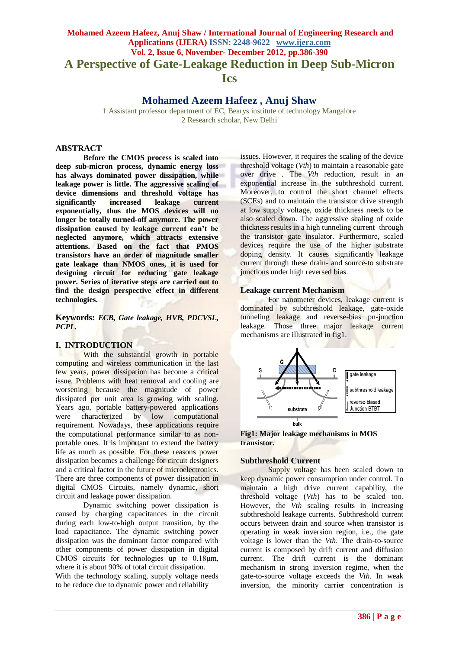# **Mohamed Azeem Hafeez, Anuj Shaw / International Journal of Engineering Research and Applications (IJERA) ISSN: 2248-9622 www.ijera.com Vol. 2, Issue 6, November- December 2012, pp.386-390 A Perspective of Gate-Leakage Reduction in Deep Sub-Micron Ics**

# **Mohamed Azeem Hafeez , Anuj Shaw**

1 Assistant professor department of EC, Bearys institute of technology Mangalore 2 Research scholar, New Delhi

# **ABSTRACT**

**Before the CMOS process is scaled into deep sub-micron process, dynamic energy loss has always dominated power dissipation, while leakage power is little. The aggressive scaling of device dimensions and threshold voltage has significantly increased leakage exponentially, thus the MOS devices will no longer be totally turned-off anymore. The power dissipation caused by leakage current can't be neglected anymore, which attracts extensive attentions. Based on the fact that PMOS transistors have an order of magnitude smaller gate leakage than NMOS ones, it is used for designing circuit for reducing gate leakage power. Series of iterative steps are carried out to find the design perspective effect in different technologies.** 

**Keywords:** *ECB, Gate leakage, HVB, PDCVSL, PCPL.*

### **I. INTRODUCTION**

With the substantial growth in portable computing and wireless communication in the last few years, power dissipation has become a critical issue. Problems with heat removal and cooling are worsening because the magnitude of power dissipated per unit area is growing with scaling. Years ago, portable battery-powered applications were characterized by low computational requirement. Nowadays, these applications require the computational performance similar to as nonportable ones. It is important to extend the battery life as much as possible. For these reasons power dissipation becomes a challenge for circuit designers and a critical factor in the future of microelectronics. There are three components of power dissipation in digital CMOS Circuits, namely dynamic, short circuit and leakage power dissipation.

Dynamic switching power dissipation is caused by charging capacitances in the circuit during each low-to-high output transition, by the load capacitance. The dynamic switching power dissipation was the dominant factor compared with other components of power dissipation in digital CMOS circuits for technologies up to 0.18μm, where it is about 90% of total circuit dissipation. With the technology scaling, supply voltage needs to be reduce due to dynamic power and reliability

issues. However, it requires the scaling of the device threshold voltage (*Vth*) to maintain a reasonable gate over drive . The *Vth* reduction, result in an exponential increase in the subthreshold current. Moreover, to control the short channel effects (SCEs) and to maintain the transistor drive strength at low supply voltage, oxide thickness needs to be also scaled down. The aggressive scaling of oxide thickness results in a high tunneling current through the transistor gate insulator. Furthermore, scaled devices require the use of the higher substrate doping density. It causes significantly leakage current through these drain- and source-to substrate junctions under high reversed bias.

### **Leakage current Mechanism**

For nanometer devices, leakage current is dominated by subthreshold leakage, gate-oxide tunneling leakage and reverse-bias pn-junction leakage. Those three major leakage current mechanisms are illustrated in fig1.





#### **Subthreshold Current**

Supply voltage has been scaled down to keep dynamic power consumption under control. To maintain a high drive current capability, the threshold voltage (*Vth*) has to be scaled too. However, the *Vth* scaling results in increasing subthreshold leakage currents. Subthreshold current occurs between drain and source when transistor is operating in weak inversion region, i.e., the gate voltage is lower than the *Vth*. The drain-to-source current is composed by drift current and diffusion current. The drift current is the dominant mechanism in strong inversion regime, when the gate-to-source voltage exceeds the *Vth*. In weak inversion, the minority carrier concentration is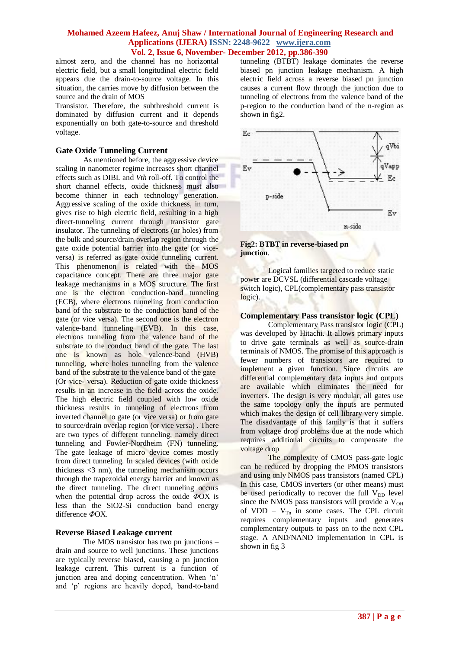almost zero, and the channel has no horizontal electric field, but a small longitudinal electric field appears due the drain-to-source voltage. In this situation, the carries move by diffusion between the source and the drain of MOS

Transistor. Therefore, the subthreshold current is dominated by diffusion current and it depends exponentially on both gate-to-source and threshold voltage.

#### **Gate Oxide Tunneling Current**

As mentioned before, the aggressive device scaling in nanometer regime increases short channel effects such as DIBL and *Vth* roll-off. To control the short channel effects, oxide thickness must also become thinner in each technology generation. Aggressive scaling of the oxide thickness, in turn, gives rise to high electric field, resulting in a high direct-tunneling current through transistor gate insulator. The tunneling of electrons (or holes) from the bulk and source/drain overlap region through the gate oxide potential barrier into the gate (or viceversa) is referred as gate oxide tunneling current. This phenomenon is related with the MOS capacitance concept. There are three major gate leakage mechanisms in a MOS structure. The first one is the electron conduction-band tunneling (ECB), where electrons tunneling from conduction band of the substrate to the conduction band of the gate (or vice versa). The second one is the electron valence-band tunneling (EVB). In this case, electrons tunneling from the valence band of the substrate to the conduct band of the gate. The last one is known as hole valence-band (HVB) tunneling, where holes tunneling from the valence band of the substrate to the valence band of the gate (Or vice- versa). Reduction of gate oxide thickness results in an increase in the field across the oxide. The high electric field coupled with low oxide thickness results in tunneling of electrons from inverted channel to gate (or vice versa) or from gate to source/drain overlap region (or vice versa) . There are two types of different tunneling, namely direct tunneling and Fowler-Nordheim (FN) tunneling. The gate leakage of micro device comes mostly from direct tunneling. In scaled devices (with oxide thickness <3 nm), the tunneling mechanism occurs through the trapezoidal energy barrier and known as the direct tunneling. The direct tunneling occurs when the potential drop across the oxide *Φ*OX is less than the  $SiO2-Si$  conduction band energy difference *Φ*OX.

### **Reverse Biased Leakage current**

The MOS transistor has two pn junctions – drain and source to well junctions. These junctions are typically reverse biased, causing a pn junction leakage current. This current is a function of junction area and doping concentration. When 'n' and "p" regions are heavily doped, band-to-band tunneling (BTBT) leakage dominates the reverse biased pn junction leakage mechanism. A high electric field across a reverse biased pn junction causes a current flow through the junction due to tunneling of electrons from the valence band of the p-region to the conduction band of the n-region as shown in fig2.



**Fig2: BTBT in reverse-biased pn junction**.

Logical families targeted to reduce static power are DCVSL (differential cascade voltage switch logic), CPL(complementary pass transistor logic).

# **Complementary Pass transistor logic (CPL)**

Complementary Pass transistor logic (CPL) was developed by Hitachi. It allows primary inputs to drive gate terminals as well as source-drain terminals of NMOS. The promise of this approach is fewer numbers of transistors are required to implement a given function. Since circuits are differential complementary data inputs and outputs are available which eliminates the need for inverters. The design is very modular, all gates use the same topology only the inputs are permuted which makes the design of cell library very simple. The disadvantage of this family is that it suffers from voltage drop problems due at the node which requires additional circuits to compensate the voltage drop

The complexity of CMOS pass-gate logic can be reduced by dropping the PMOS transistors and using only NMOS pass transistors (named CPL) In this case, CMOS inverters (or other means) must be used periodically to recover the full  $V_{DD}$  level since the NMOS pass transistors will provide a  $V_{OH}$ of VDD –  $V_{Tn}$  in some cases. The CPL circuit requires complementary inputs and generates complementary outputs to pass on to the next CPL stage. A AND/NAND implementation in CPL is shown in fig 3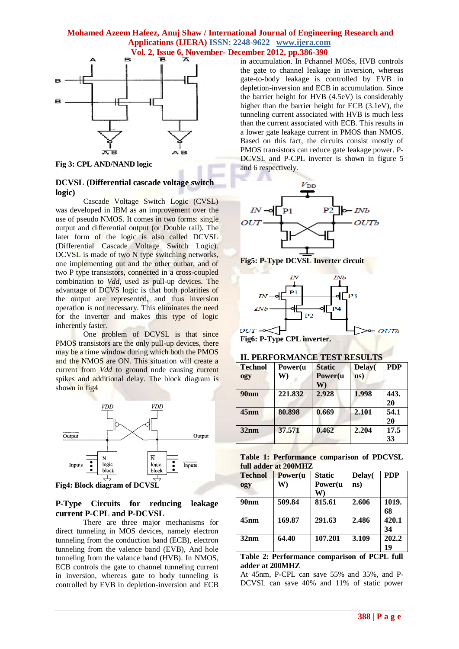

**Fig 3: CPL AND/NAND logic**

# **DCVSL (Differential cascade voltage switch logic)**

Cascade Voltage Switch Logic (CVSL) was developed in IBM as an improvement over the use of pseudo NMOS. It comes in two forms: single output and differential output (or Double rail). The later form of the logic is also called DCVSL (Differential Cascade Voltage Switch Logic). DCVSL is made of two N type switching networks, one implementing out and the other outbar, and of two P type transistors, connected in a cross-coupled combination to *Vdd,* used as pull-up devices. The advantage of DCVS logic is that both polarities of the output are represented, and thus inversion operation is not necessary. This eliminates the need for the inverter and makes this type of logic inherently faster.

One problem of DCVSL is that since PMOS transistors are the only pull-up devices, there may be a time window during which both the PMOS and the NMOS are ON. This situation will create a current from *Vdd* to ground node causing current spikes and additional delay. The block diagram is shown in fig4



**Fig4: Block diagram of DCVSL**

### **P-Type Circuits for reducing leakage current P-CPL and P-DCVSL**

There are three major mechanisms for direct tunneling in MOS devices, namely electron tunneling from the conduction band (ECB), electron tunneling from the valence band (EVB), And hole tunneling from the valance band (HVB). In NMOS, ECB controls the gate to channel tunneling current in inversion, whereas gate to body tunneling is controlled by EVB in depletion-inversion and ECB in accumulation. In Pchannel MOSs, HVB controls the gate to channel leakage in inversion, whereas gate-to-body leakage is controlled by EVB in depletion-inversion and ECB in accumulation. Since the barrier height for HVB (4.5eV) is considerably higher than the barrier height for ECB (3.1eV), the tunneling current associated with HVB is much less than the current associated with ECB. This results in a lower gate leakage current in PMOS than NMOS. Based on this fact, the circuits consist mostly of PMOS transistors can reduce gate leakage power. P-DCVSL and P-CPL inverter is shown in figure 5 and 6 respectively.







**Fig6: P-Type CPL inverter.**

# **II. PERFORMANCE TEST RESULTS**

| <b>Technol</b><br>ogy | Power(u<br>W) | <b>Static</b><br>Power(u<br>W) | Delay(<br>ns) | <b>PDP</b> |
|-----------------------|---------------|--------------------------------|---------------|------------|
| 90nm                  | 221.832       | 2.928                          | 1.998         | 443.<br>20 |
| 45nm                  | 80.898        | 0.669                          | 2.101         | 54.1<br>20 |
| 32nm                  | 37.571        | 0.462                          | 2.204         | 17.5<br>33 |

|  | Table 1: Performance comparison of PDCVSL |  |  |
|--|-------------------------------------------|--|--|
|  | full adder at 200MHZ                      |  |  |

| <b>Technol</b><br>ogy | Power(u<br>W) | <b>Static</b><br>Power(u<br>W) | Delay(<br>ns) | <b>PDP</b>  |
|-----------------------|---------------|--------------------------------|---------------|-------------|
| 90 <sub>nm</sub>      | 509.84        | 815.61                         | 2.606         | 1019.<br>68 |
| 45nm                  | 169.87        | 291.63                         | 2.486         | 420.1<br>34 |
| 32nm                  | 64.40         | 107.201                        | 3.109         | 202.2<br>19 |

**Table 2: Performance comparison of PCPL full adder at 200MHZ**

At 45nm, P-CPL can save 55% and 35%, and P-DCVSL can save 40% and 11% of static power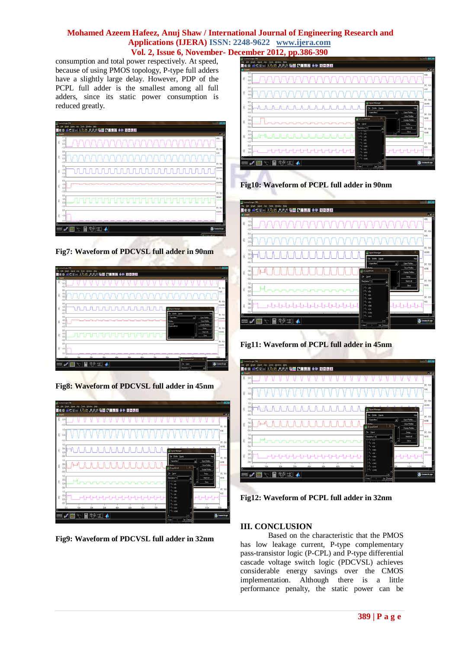consumption and total power respectively. At speed, because of using PMOS topology, P-type full adders have a slightly large delay. However, PDP of the PCPL full adder is the smallest among all full adders, since its static power consumption is reduced greatly.

|        | Il Counciscope (TM)                                                          | C <br>ж                              |
|--------|------------------------------------------------------------------------------|--------------------------------------|
| file   | <b>Tools</b><br>Help<br>ional<br>Ang<br>Window<br>ide                        |                                      |
| MS O   | 人名西 河河河 暗書 公園開窗 美美 鼓型恐怖<br>불통합식                                              |                                      |
| Graph® | रप्र                                                                         | <b>LER</b>                           |
| ε      | $1.0 -$<br>0.0<br>.10                                                        | v(5)<br>(9) : 100                    |
| ε      | 2.0<br>1.0<br>0.0<br>$-1.0$                                                  | v(a)<br>(9) : 100                    |
| ε      | 20<br>1.0<br>$0.0 -$<br>$-1.0$                                               | v(coutt)<br>$(V)$ : 1(1)             |
| ε      | 20<br>1.0<br>$0.0 -$<br>$-1.0$                                               | v(sumb)                              |
| ε      | 2.0<br>٦r<br>$1.0 -$<br>⊓⊓r<br>וחר<br>٦r<br>1.UU<br>٦r<br>٦r<br>0.0<br>$-10$ | $(N)$ : 100<br>vicout<br>$(V)$ : 100 |
| ε<br>ы | 20<br>$1.0 -$<br>0.0 <sub>1</sub>                                            | v(sum)<br>٠                          |
|        | ©9 ‡1]<br>圖<br>$\sim$<br>扇<br>$\mathbf{z}$<br>▲                              | <b>Casmos Scope</b>                  |



| Signal Axis Tools<br>Window Help<br>जिर<br>File<br>Graph<br>로이미니 XAC <i>키키키</i> 먹은 대표로운 후해 회전전화<br>e<br>12<br>C Graph D<br>770<br>ε<br>$0.0 -$<br>$-1.0$<br>2.0<br>1.0<br>ε<br>$0.0 -$<br>$-1.0$ | $(V)$ : $t(t)$<br>v(a)<br>$(V)$ : $I(1)$<br>v(touts)<br>40 Sprai Manager                                                           |
|--------------------------------------------------------------------------------------------------------------------------------------------------------------------------------------------------|------------------------------------------------------------------------------------------------------------------------------------|
|                                                                                                                                                                                                  |                                                                                                                                    |
|                                                                                                                                                                                                  |                                                                                                                                    |
|                                                                                                                                                                                                  |                                                                                                                                    |
|                                                                                                                                                                                                  |                                                                                                                                    |
| 20<br>1.0<br>лллллл<br>ε<br>$0.0 -$<br>$-1.0$                                                                                                                                                    | Ele Etable Signals<br>Nelp<br>$(N)$ : 1(1)                                                                                         |
| 20<br>1.0<br>ε<br>$0.0 -$<br>$-1.0$                                                                                                                                                              | 회<br>Open Plotiles<br>Squal filler<br>v(tumb)<br>Down Plotties<br>Potler<br>$1$ ca to<br>Display Plotiles<br>$21$ pdcycl#5.bO      |
| 2.0<br>$1.0 -$<br>TUTUTUT U<br>ε<br>0.0<br>$-1.0 -$                                                                                                                                              | $(N)$ : 1(1)<br>Setup.<br>vitout<br>Match All<br>٠<br>Close<br>п                                                                   |
| 2.0<br>ε<br>$1.0 -$<br>0.0                                                                                                                                                                       | $(V)$ : 1(1)<br>v(sum)                                                                                                             |
| nn<br>10s<br>40n<br>Alle<br>п<br>29 30<br>冊<br>ab                                                                                                                                                | 80n<br>70n<br>RO <sub>1</sub><br>$\overline{z}$<br>4 (2) policid \$3.90<br><b>Commission</b><br>Ele Signal<br>Fite(deline";")<br>노 |





**Fig9: Waveform of PDCVSL full adder in 32nm**



**Fig10: Waveform of PCPL full adder in 90nm**



**Fig11: Waveform of PCPL full adder in 45nm**



**Fig12: Waveform of PCPL full adder in 32nm**

# **III. CONCLUSION**

Based on the characteristic that the PMOS has low leakage current, P-type complementary pass-transistor logic (P-CPL) and P-type differential cascade voltage switch logic (PDCVSL) achieves considerable energy savings over the CMOS implementation. Although there is a little performance penalty, the static power can be